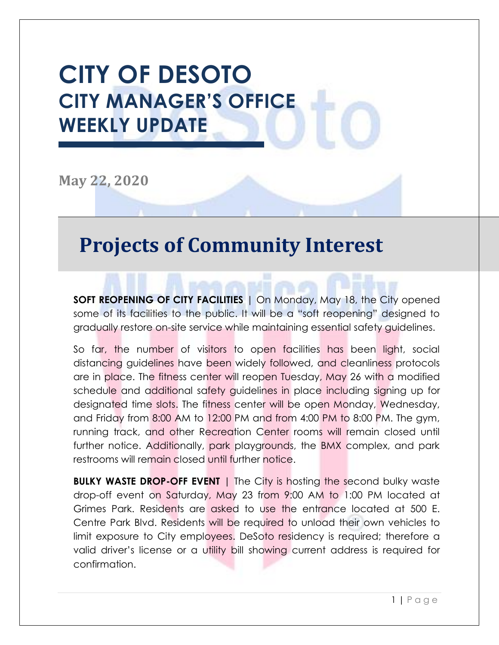# **CITY OF DESOTO CITY MANAGER'S OFFICE WEEKLY UPDATE**

**May 22, 2020**

## **Projects of Community Interest**

**SOFT REOPENING OF CITY FACILITIES** | On Monday, May 18, the City opened some of its facilities to the public. It will be a "soft reopening" designed to gradually restore on-site service while maintaining essential safety guidelines.

So far, the number of visitors to open facilities has been light, social distancing guidelines have been widely followed, and cleanliness protocols are in place. The fitness center will reopen Tuesday, May 26 with a modified schedule and additional safety guidelines in place including signing up for designated time slots. The fitness center will be open Monday, Wednesday, and Friday from 8:00 AM to 12:00 PM and from 4:00 PM to 8:00 PM. The gym, running track, and other Recreation Center rooms will remain closed until further notice. Additionally, park playgrounds, the BMX complex, and park restrooms will remain closed until further notice.

**BULKY WASTE DROP-OFF EVENT** | The City is hosting the second bulky waste drop-off event on Saturday, May 23 from 9:00 AM to 1:00 PM located at Grimes Park. Residents are asked to use the entrance located at 500 E. Centre Park Blvd. Residents will be required to unload their own vehicles to limit exposure to City employees. DeSoto residency is required; therefore a valid driver's license or a utility bill showing current address is required for confirmation.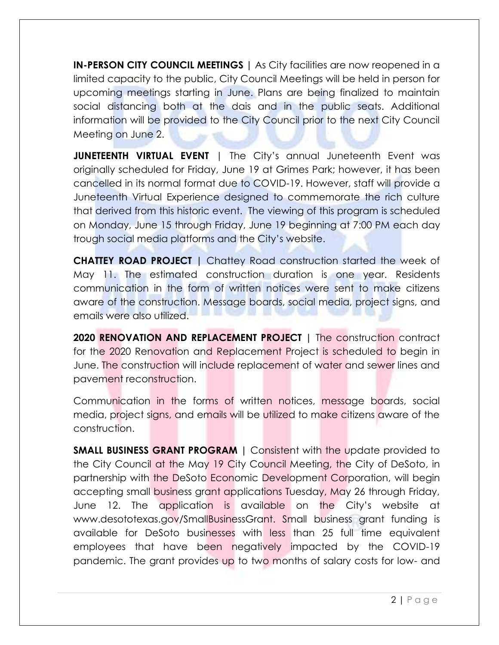**IN-PERSON CITY COUNCIL MEETINGS |** As City facilities are now reopened in a limited capacity to the public, City Council Meetings will be held in person for upcoming meetings starting in June. Plans are being finalized to maintain social distancing both at the dais and in the public seats. Additional information will be provided to the City Council prior to the next City Council Meeting on June 2.

**JUNETEENTH VIRTUAL EVENT** | The City's annual Juneteenth Event was originally scheduled for Friday, June 19 at Grimes Park; however, it has been cancelled in its normal format due to COVID-19. However, staff will provide a Juneteenth Virtual Experience designed to commemorate the rich culture that derived from this historic event. The viewing of this program is scheduled on Monday, June 15 through Friday, June 19 beginning at 7:00 PM each day trough social media platforms and the City's website.

**CHATTEY ROAD PROJECT |** Chattey Road construction started the week of May 11. The estimated construction duration is one year. Residents communication in the form of written notices were sent to make citizens aware of the construction. Message boards, social media, project signs, and emails were also utilized.

**2020 RENOVATION AND REPLACEMENT PROJECT |** The construction contract for the 2020 Renovation and Replacement Project is scheduled to begin in June. The construction will include replacement of water and sewer lines and pavement reconstruction.

Communication in the forms of written notices, message boards, social media, project signs, and emails will be utilized to make citizens aware of the construction.

**SMALL BUSINESS GRANT PROGRAM |** Consistent with the update provided to the City Council at the May 19 City Council Meeting, the City of DeSoto, in partnership with the DeSoto Economic Development Corporation, will begin accepting small business grant applications Tuesday, May 26 through Friday, June 12. The application is available on the City's website at www.desototexas.gov/SmallBusinessGrant. Small business grant funding is available for DeSoto businesses with less than 25 full time equivalent employees that have been negatively impacted by the COVID-19 pandemic. The grant provides up to two months of salary costs for low- and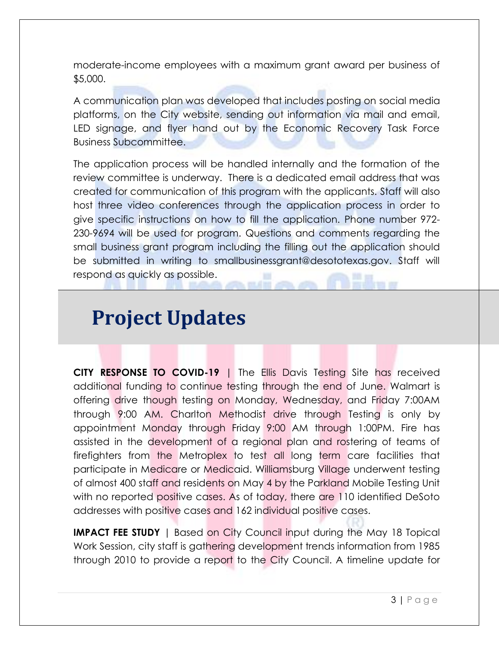moderate-income employees with a maximum grant award per business of \$5,000.

A communication plan was developed that includes posting on social media platforms, on the City website, sending out information via mail and email, LED signage, and flyer hand out by the Economic Recovery Task Force Business Subcommittee.

The application process will be handled internally and the formation of the review committee is underway. There is a dedicated email address that was created for communication of this program with the applicants. Staff will also host three video conferences through the application process in order to give specific instructions on how to fill the application. Phone number 972- 230-9694 will be used for program. Questions and comments regarding the small business grant program including the filling out the application should be submitted in writing to smallbusinessgrant@desototexas.gov. Staff will respond as quickly as possible.

# **Project Updates**

**CITY RESPONSE TO COVID-19** | The Ellis Davis Testing Site has received additional funding to continue testing through the end of June. Walmart is offering drive though testing on Monday, Wednesday, and Friday 7:00AM through 9:00 AM. Charlton Methodist drive through Testing is only by appointment Monday through Friday 9:00 AM through 1:00PM. Fire has assisted in the development of a regional plan and rostering of teams of firefighters from the Metroplex to test all long term care facilities that participate in Medicare or Medicaid. Williamsburg Village underwent testing of almost 400 staff and residents on May 4 by the Parkland Mobile Testing Unit with no reported positive cases. As of today, there are 110 identified DeSoto addresses with positive cases and 162 individual positive cases.

**IMPACT FEE STUDY** | Based on City Council input during the May 18 Topical Work Session, city staff is gathering development trends information from 1985 through 2010 to provide a report to the City Council. A timeline update for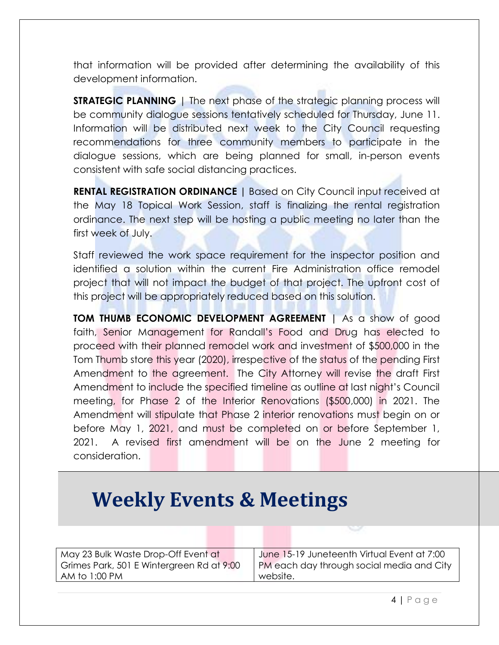that information will be provided after determining the availability of this development information.

**STRATEGIC PLANNING** | The next phase of the strategic planning process will be community dialogue sessions tentatively scheduled for Thursday, June 11. Information will be distributed next week to the City Council requesting recommendations for three community members to participate in the dialogue sessions, which are being planned for small, in-person events consistent with safe social distancing practices.

**RENTAL REGISTRATION ORDINANCE |** Based on City Council input received at the May 18 Topical Work Session, staff is finalizing the rental registration ordinance. The next step will be hosting a public meeting no later than the first week of July.

Staff reviewed the work space requirement for the inspector position and identified a solution within the current Fire Administration office remodel project that will not impact the budget of that project. The upfront cost of this project will be appropriately reduced based on this solution.

**TOM THUMB ECONOMIC DEVELOPMENT AGREEMENT |** As a show of good faith, Senior Management for Randall's Food and Drug has elected to proceed with their planned remodel work and investment of \$500,000 in the Tom Thumb store this year (2020), irrespective of the status of the pending First Amendment to the agreement. The City Attorney will revise the draft First Amendment to include the specified timeline as outline at last night's Council meeting, for Phase 2 of the Interior Renovations (\$500,000) in 2021. The Amendment will stipulate that Phase 2 interior renovations must begin on or before May 1, 2021, and must be completed on or before September 1, 2021. A revised first amendment will be on the June 2 meeting for consideration.

# **Weekly Events & Meetings**

| May 23 Bulk Waste Drop-Off Event at       | June 15-19 Juneteenth Virtual Event at 7:00 |
|-------------------------------------------|---------------------------------------------|
| Grimes Park, 501 E Wintergreen Rd at 9:00 | PM each day through social media and City   |
| AM to 1:00 PM                             | website.                                    |